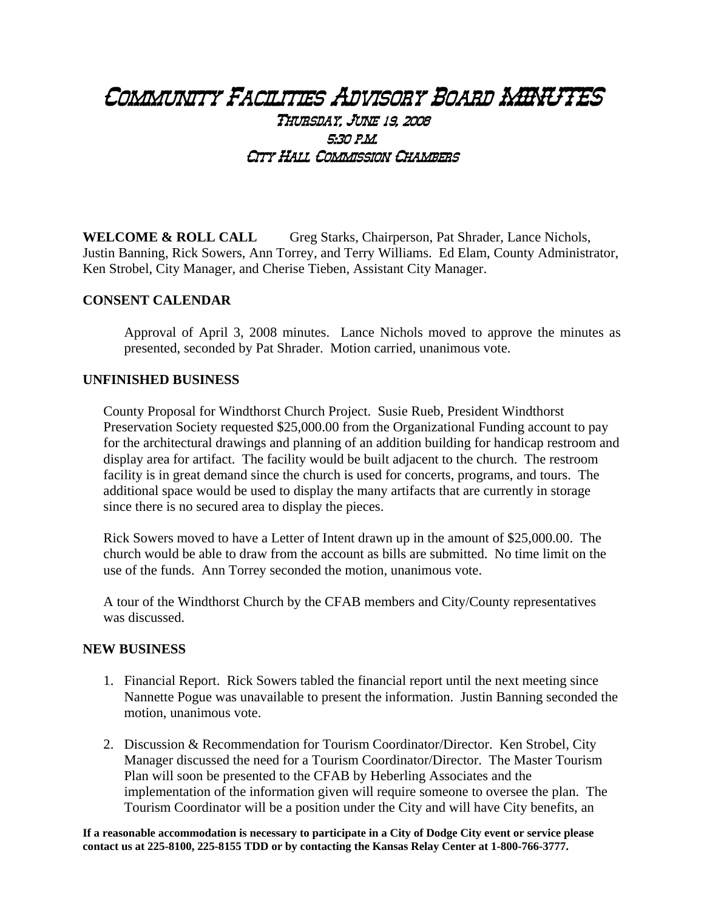# Community Facilities Advisory Board MINUTES Thursday, June 19, 2008 5:30 p.m. City Hall Commission Chambers

**WELCOME & ROLL CALL** Greg Starks, Chairperson, Pat Shrader, Lance Nichols, Justin Banning, Rick Sowers, Ann Torrey, and Terry Williams. Ed Elam, County Administrator, Ken Strobel, City Manager, and Cherise Tieben, Assistant City Manager.

### **CONSENT CALENDAR**

Approval of April 3, 2008 minutes. Lance Nichols moved to approve the minutes as presented, seconded by Pat Shrader. Motion carried, unanimous vote.

#### **UNFINISHED BUSINESS**

County Proposal for Windthorst Church Project. Susie Rueb, President Windthorst Preservation Society requested \$25,000.00 from the Organizational Funding account to pay for the architectural drawings and planning of an addition building for handicap restroom and display area for artifact. The facility would be built adjacent to the church. The restroom facility is in great demand since the church is used for concerts, programs, and tours. The additional space would be used to display the many artifacts that are currently in storage since there is no secured area to display the pieces.

Rick Sowers moved to have a Letter of Intent drawn up in the amount of \$25,000.00. The church would be able to draw from the account as bills are submitted. No time limit on the use of the funds. Ann Torrey seconded the motion, unanimous vote.

A tour of the Windthorst Church by the CFAB members and City/County representatives was discussed.

#### **NEW BUSINESS**

- 1. Financial Report. Rick Sowers tabled the financial report until the next meeting since Nannette Pogue was unavailable to present the information. Justin Banning seconded the motion, unanimous vote.
- 2. Discussion & Recommendation for Tourism Coordinator/Director. Ken Strobel, City Manager discussed the need for a Tourism Coordinator/Director. The Master Tourism Plan will soon be presented to the CFAB by Heberling Associates and the implementation of the information given will require someone to oversee the plan. The Tourism Coordinator will be a position under the City and will have City benefits, an

**If a reasonable accommodation is necessary to participate in a City of Dodge City event or service please contact us at 225-8100, 225-8155 TDD or by contacting the Kansas Relay Center at 1-800-766-3777.**